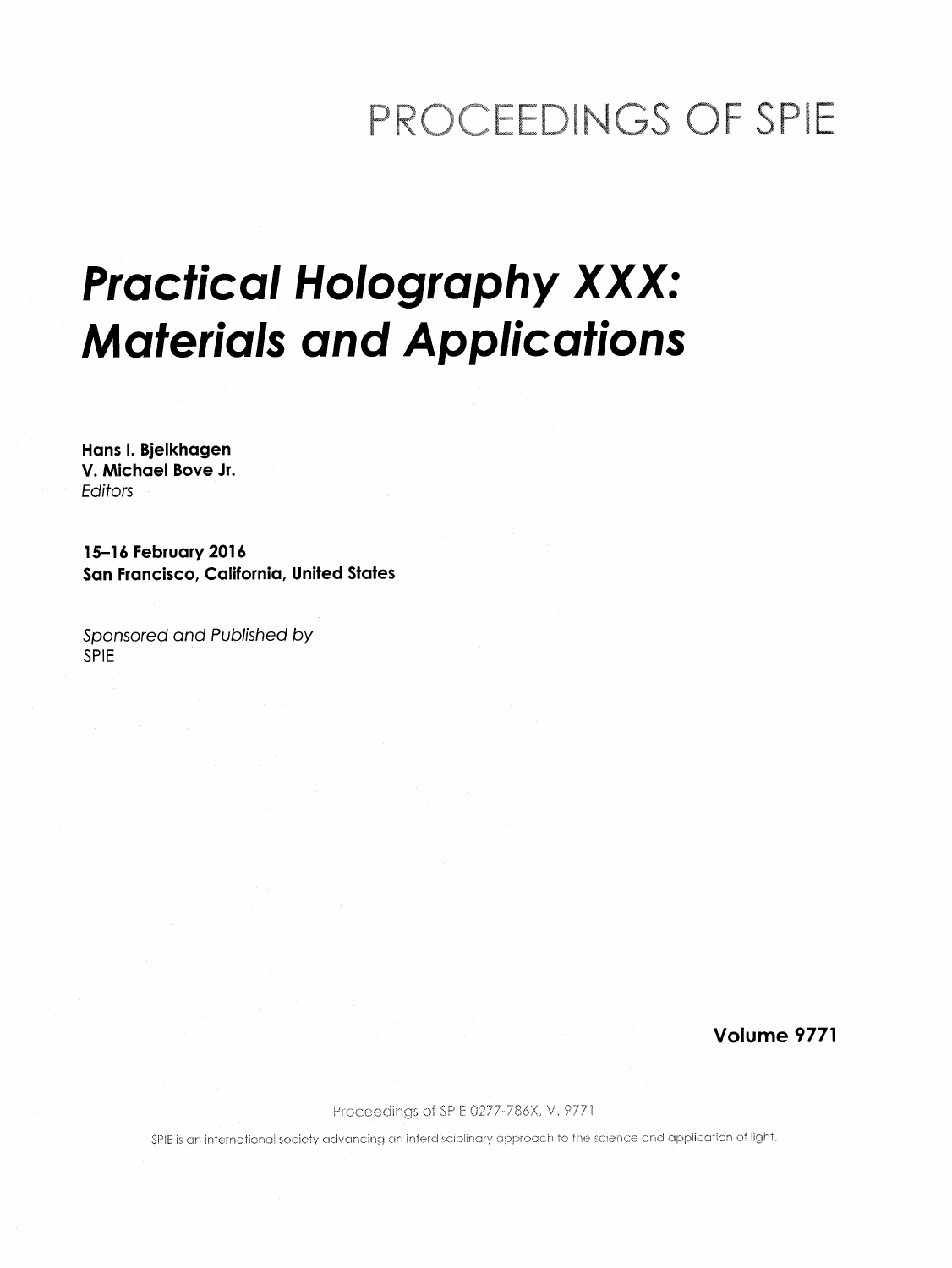## PROCEEDINGS OF SPIE

## Practical Holography XXX: Materials and Applications

Hans I. Bjelkhagen V. Michael Bove Jr. Editors

15-16 February 2016 San Francisco, California, United States

Sponsored and Published by SPIE

Volume 9771

Proceedings of SPIE 0277-786X, V. 9771

SPIE is an international society advancing an interdisciplinary approach to the science and application of light.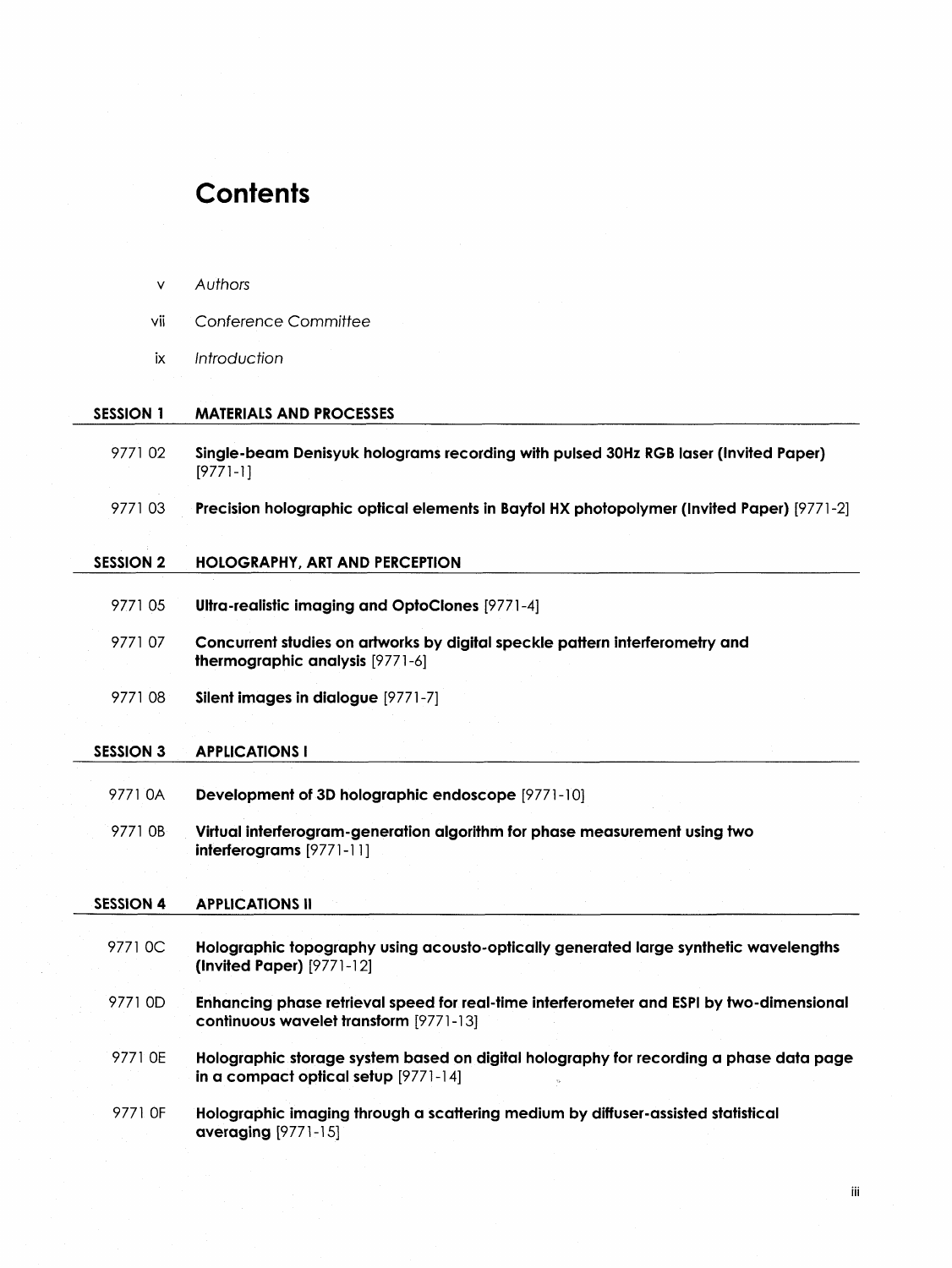## **Contents**

| v         | Authors                                                                                                                            |
|-----------|------------------------------------------------------------------------------------------------------------------------------------|
| ٧ij       | Conference Committee                                                                                                               |
| iх        | Introduction                                                                                                                       |
| SESSION 1 | <b>MATERIALS AND PROCESSES</b>                                                                                                     |
| 977102    | Single-beam Denisyuk holograms recording with pulsed 30Hz RGB laser (Invited Paper)<br>[9771-1]                                    |
| 977103    | Precision holographic optical elements in Bayfol HX photopolymer (Invited Paper) [9771-2]                                          |
| SESSION 2 | <b>HOLOGRAPHY, ART AND PERCEPTION</b>                                                                                              |
| 977105    | Ultra-realistic imaging and OptoClones [9771-4]                                                                                    |
| 977107    | Concurrent studies on artworks by digital speckle pattern interferometry and<br>thermographic analysis [9771-6]                    |
| 977108    | Silent images in dialogue [9771-7]                                                                                                 |
| SESSION 3 | <b>APPLICATIONS I</b>                                                                                                              |
| 9771 0A   | Development of 3D holographic endoscope [9771-10]                                                                                  |
| 9771 0B   | Virtual interferogram-generation algorithm for phase measurement using two<br>$interferograms [9771-11]$                           |
| SESSION 4 | <b>APPLICATIONS II</b>                                                                                                             |
| 9771 OC   | Holographic topography using acousto-optically generated large synthetic wavelengths<br>(Invited Paper) [9771-12]                  |
| 9771 OD   | Enhancing phase retrieval speed for real-time interferometer and ESPI by two-dimensional<br>continuous wavelet transform [9771-13] |
| 9771 OE   | Holographic storage system based on digital holography for recording a phase data page<br>in a compact optical setup [9771-14]     |
| 9771 OF   | Holographic imaging through a scattering medium by diffuser-assisted statistical<br>averaging [9771-15]                            |